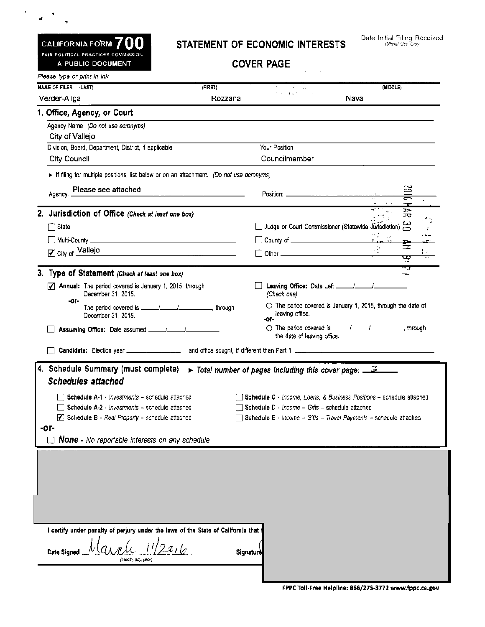## CALIFORNIA FORM  $700$ FAIR POLITICAL PRACTICES COMMISSION

A PUBLIC DOCUMENT

 $\bar{\mathbf{r}}$ 

 $\mathbf{z}^{(n)}$ 

## STATEMENT OF ECONOMIC INTERESTS

**COVER PAGE** 

| NAME OF FILER (LAST)                                                                                                                   | (FIRST)                                         |                                                                                                    |      | (MIDDLE)        |              |                                                                      |  |  |  |
|----------------------------------------------------------------------------------------------------------------------------------------|-------------------------------------------------|----------------------------------------------------------------------------------------------------|------|-----------------|--------------|----------------------------------------------------------------------|--|--|--|
| Verder-Aliga                                                                                                                           | Rozzana                                         |                                                                                                    | Nava |                 |              |                                                                      |  |  |  |
| 1. Office, Agency, or Court                                                                                                            |                                                 |                                                                                                    |      |                 |              |                                                                      |  |  |  |
| Agency Name (Do not use acronyms)                                                                                                      |                                                 |                                                                                                    |      |                 |              |                                                                      |  |  |  |
| City of Vallejo                                                                                                                        |                                                 |                                                                                                    |      |                 |              |                                                                      |  |  |  |
| Division, Board, Department, District, if applicable                                                                                   |                                                 | Your Position                                                                                      |      |                 |              |                                                                      |  |  |  |
| <b>City Council</b>                                                                                                                    |                                                 | Councilmember                                                                                      |      |                 |              |                                                                      |  |  |  |
| If filing for multiple positions, list below or on an attachment. (Do not use acronyms)                                                |                                                 |                                                                                                    |      |                 |              |                                                                      |  |  |  |
| Please see attached<br>Agency: _                                                                                                       |                                                 |                                                                                                    |      |                 | 잃<br>콩<br>~− |                                                                      |  |  |  |
| 2. Jurisdiction of Office (Check at least one box)                                                                                     |                                                 |                                                                                                    |      |                 | Þ<br>ಸಾ      |                                                                      |  |  |  |
| State                                                                                                                                  |                                                 | Judge or Court Commissioner (Statewide Jurisdiction)                                               |      |                 |              |                                                                      |  |  |  |
|                                                                                                                                        |                                                 |                                                                                                    |      |                 |              |                                                                      |  |  |  |
|                                                                                                                                        |                                                 |                                                                                                    |      | $r_{\rm in}$ 11 | ÷<br>≍       |                                                                      |  |  |  |
| City of Vallejo<br><u> 1980 - John Harry Harry Harry Harry Harry Harry Harry Harry Harry Harry Harry Harry Harry Harry Harry Harry</u> |                                                 | 1 Other _________________________________                                                          |      |                 | œ            |                                                                      |  |  |  |
| 3. Type of Statement (Check at least one box)                                                                                          |                                                 |                                                                                                    |      |                 | 7            |                                                                      |  |  |  |
| $\sqrt{ }$ Annual: The period covered is January 1, 2015, through<br>December 31, 2015.                                                |                                                 | Leaving Office: Date Left ______/______/<br>(Check one)                                            |      |                 |              |                                                                      |  |  |  |
| -ог-<br>December 31, 2015.                                                                                                             |                                                 | $\bigcirc$ The period covered is January 1, 2015, through the date of<br>leaving office.<br>$-0r-$ |      |                 |              |                                                                      |  |  |  |
|                                                                                                                                        |                                                 | the date of leaving office.                                                                        |      |                 |              |                                                                      |  |  |  |
| 4. Schedule Summary (must complete)                                                                                                    |                                                 | $\triangleright$ Total number of pages including this cover page: $\preceq$                        |      |                 |              |                                                                      |  |  |  |
| <b>Schedules attached</b>                                                                                                              |                                                 |                                                                                                    |      |                 |              |                                                                      |  |  |  |
| Schedule A-1 - <i>Investments</i> – schedule attached                                                                                  |                                                 |                                                                                                    |      |                 |              | Schedule C - Income, Loans, & Business Positions - schedule attached |  |  |  |
|                                                                                                                                        | Schedule D - Income - Gifts - schedule attached |                                                                                                    |      |                 |              |                                                                      |  |  |  |
| $\overline{\phantom{a}}$ Schedule A-2 - <i>Investments</i> - schedule attached                                                         |                                                 |                                                                                                    |      |                 |              |                                                                      |  |  |  |
| $\sqrt{ }$ . Schedule B - Real Property - schedule attached                                                                            |                                                 | Schedule E - Income -- Gifts -- Travel Payments -- schedule attached                               |      |                 |              |                                                                      |  |  |  |
| -ог-<br><b>None</b> - No reportable interests on any schedule                                                                          |                                                 |                                                                                                    |      |                 |              |                                                                      |  |  |  |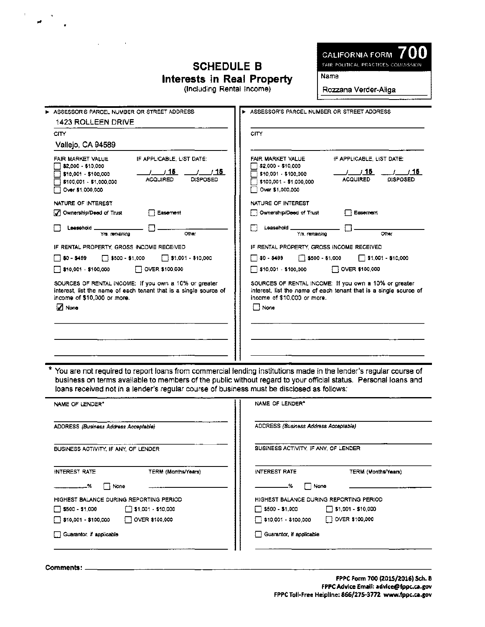## **SCHEDULE B** Interests in Real Property

(Including Rental Income)

CALIFORNIA FORM FAIR POLITICAL PRACTICES COMMISSION

**Name** 

Rozzana Verder-Aliga

| ASSESSOR'S PARCEL NUMBER OR STREET ADDRESS                                                                                                                                                                | > ASSESSOR'S PARCEL NUMBER OR STREET ADDRESS                                                                                                                                                                           |
|-----------------------------------------------------------------------------------------------------------------------------------------------------------------------------------------------------------|------------------------------------------------------------------------------------------------------------------------------------------------------------------------------------------------------------------------|
| <b>1423 ROLLEEN DRIVE</b>                                                                                                                                                                                 |                                                                                                                                                                                                                        |
| <b>CITY</b>                                                                                                                                                                                               | <b>CITY</b>                                                                                                                                                                                                            |
| Vallejo, CA 94589                                                                                                                                                                                         |                                                                                                                                                                                                                        |
| FAIR MARKET VALUE<br>IF APPLICABLE. LIST DATE:<br>$\Box$ \$2,000 - \$10,000<br>/15<br>/ / 15<br>\$10.001 - \$100.000<br><b>ACQUIRED</b><br><b>DISPOSED</b><br>\$100,001 - \$1,000,000<br>Over \$1,000,000 | FAIR MARKET VALUE<br>IF APPLICABLE, LIST DATE:<br>$\Box$ \$2,000 - \$10,000<br>/ 15<br>1/15<br>$\Box$ \$10,001 - \$100,000<br><b>ACQUIRED</b><br><b>DISPOSED</b><br>$\Box$ \$100,001 - \$1,000,000<br>CVer \$1,000,000 |
| NATURE OF INTEREST                                                                                                                                                                                        | NATURE OF INTEREST                                                                                                                                                                                                     |
| Ownership/Deed of Trust<br>Easement                                                                                                                                                                       | Ownership/Deed of Trust<br>Easement                                                                                                                                                                                    |
| Leesehold _<br>Yrs, remaining<br>Other                                                                                                                                                                    | Leasehold _<br>Yrs, remaining<br>Other                                                                                                                                                                                 |
| IF RENTAL PROPERTY, GROSS INCOME RECEIVED.                                                                                                                                                                | IF RENTAL PROPERTY, GROSS INCOME RECEIVED                                                                                                                                                                              |
| ▔ \$0 - \$499<br>$5500 - $1,000$<br>$\Box$ \$1,001 - \$10,000                                                                                                                                             | $\Box$ \$0 - \$499<br>$\sqrt{ }$ \$500 - \$1,000<br>$\Box$ \$1,001 - \$10,000                                                                                                                                          |
| $\Box$ \$10,001 - \$100,000<br>OVER \$100,000                                                                                                                                                             | \$10,001 - \$100,000<br>OVER \$100,000                                                                                                                                                                                 |
| SOURCES OF RENTAL INCOME: If you own a 10% or greater<br>interest, list the name of each tenant that is a single source of<br>income of \$10,000 or more.<br>J None                                       | SOURCES OF RENTAL INCOME: If you own a 10% or greater<br>interest, list the name of each tenant that is a single source of<br>income of \$10,000 or more.<br>□ None                                                    |
|                                                                                                                                                                                                           |                                                                                                                                                                                                                        |
|                                                                                                                                                                                                           |                                                                                                                                                                                                                        |

\* You are not required to report loans from commercial lending institutions made in the lender's regular course of business on terms available to members of the public without regard to your official status. Personal loans and loans received not in a lender's regular course of business must be disclosed as follows:

| NAME OF LENDER"                                   | NAME OF LENDER*                                      |
|---------------------------------------------------|------------------------------------------------------|
| ADDRESS (Business Address Acceptable)             | ADDRESS (Business Address Acceptable)                |
| BUSINESS ACTIVITY, IF ANY, OF LENDER              | BUSINESS ACTIVITY, IF ANY, OF LENDER                 |
| INTEREST RATE<br><b>TERM (Months/Years)</b>       | <b>INTEREST RATE</b><br>TERM (Months/Years)          |
| None                                              | □ None<br>-%                                         |
| HIGHEST BALANCE DURING REPORTING PERIOD           | HIGHEST BALANCE DURING REPORTING PERIOD              |
| $\Box$ \$500 - \$1,000 $\Box$ \$1,001 - \$10,000  | $\Box$ \$500 - \$1,000<br>$\Box$ \$1,001 - \$10,000  |
| $\Box$ \$10,001 - \$100,000 $\Box$ OVER \$100,000 | $\Box$ OVER \$100,000<br>$\Box$ \$10,001 - \$100,000 |
| Guarantor, if applicable                          | Guarantor, if applicable                             |

Comments: \_

FPPC Form 700 (2015/2016) Sch. B FPPC Advice Email: advice@fppc.ca.gov FPPC Toll-Free Helpline: 866/275-3772 www.fppc.ca.gov